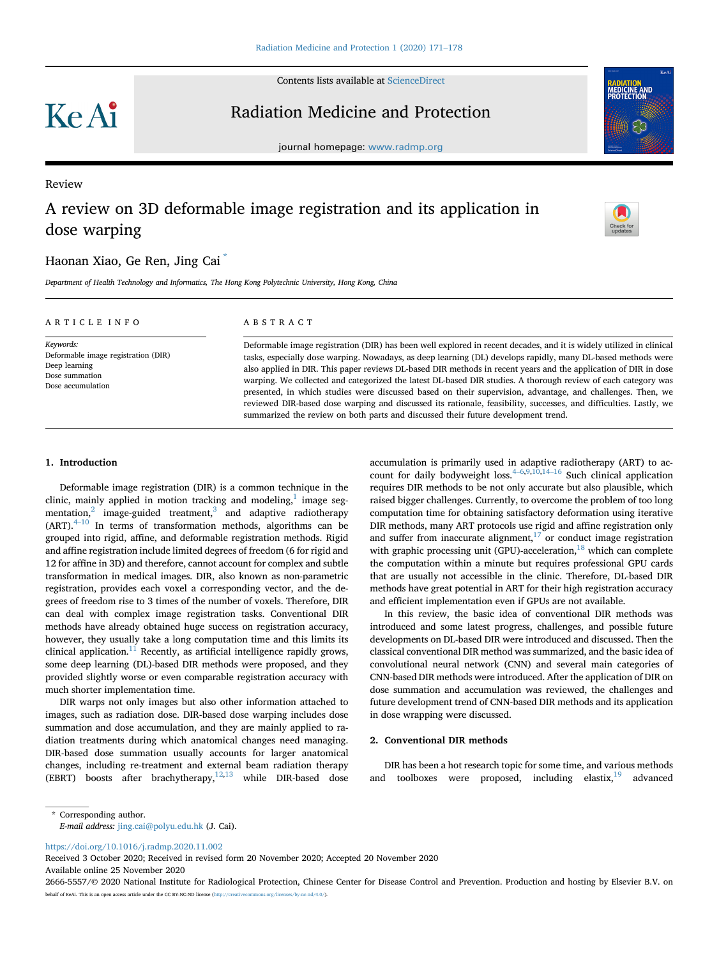Contents lists available at [ScienceDirect](www.sciencedirect.com/science/journal/26665557)

KeAi

Review

## Radiation Medicine and Protection



journal homepage: <www.radmp.org>

# A review on 3D deformable image registration and its application in dose warping

### Haonan Xiao, Ge Ren, Jing Cai [\\*](#page-0-0)

Department of Health Technology and Informatics, The Hong Kong Polytechnic University, Hong Kong, China

### Keywords: Deformable image registration (DIR) Deep learning Dose summation Dose accumulation

#### ABSTRACT

Deformable image registration (DIR) has been well explored in recent decades, and it is widely utilized in clinical tasks, especially dose warping. Nowadays, as deep learning (DL) develops rapidly, many DL-based methods were also applied in DIR. This paper reviews DL-based DIR methods in recent years and the application of DIR in dose warping. We collected and categorized the latest DL-based DIR studies. A thorough review of each category was presented, in which studies were discussed based on their supervision, advantage, and challenges. Then, we reviewed DIR-based dose warping and discussed its rationale, feasibility, successes, and difficulties. Lastly, we summarized the review on both parts and discussed their future development trend.

#### 1. Introduction

ARTICLE INFO

Deformable image registration (DIR) is a common technique in the clinic, mainly applied in motion tracking and modeling, $<sup>1</sup>$  image seg-</sup> mentation, $2 \text{ image-guided treatment}, 3$  and adaptive radiotherapy  $(ART)$ .<sup>[4](#page-6-1)–[10](#page-6-1)</sup> In terms of transformation methods, algorithms can be grouped into rigid, affine, and deformable registration methods. Rigid and affine registration include limited degrees of freedom (6 for rigid and 12 for affine in 3D) and therefore, cannot account for complex and subtle transformation in medical images. DIR, also known as non-parametric registration, provides each voxel a corresponding vector, and the degrees of freedom rise to 3 times of the number of voxels. Therefore, DIR can deal with complex image registration tasks. Conventional DIR methods have already obtained huge success on registration accuracy, however, they usually take a long computation time and this limits its clinical application. $11$  Recently, as artificial intelligence rapidly grows, some deep learning (DL)-based DIR methods were proposed, and they provided slightly worse or even comparable registration accuracy with much shorter implementation time.

DIR warps not only images but also other information attached to images, such as radiation dose. DIR-based dose warping includes dose summation and dose accumulation, and they are mainly applied to radiation treatments during which anatomical changes need managing. DIR-based dose summation usually accounts for larger anatomical changes, including re-treatment and external beam radiation therapy (EBRT) boosts after brachytherapy,<sup>12,[13](#page-6-4)</sup> while DIR-based dose accumulation is primarily used in adaptive radiotherapy (ART) to account for daily bodyweight loss. $4-6,9,10,14-16$  $4-6,9,10,14-16$  $4-6,9,10,14-16$  $4-6,9,10,14-16$  $4-6,9,10,14-16$  $4-6,9,10,14-16$  $4-6,9,10,14-16$  $4-6,9,10,14-16$  $4-6,9,10,14-16$  $4-6,9,10,14-16$  Such clinical application requires DIR methods to be not only accurate but also plausible, which raised bigger challenges. Currently, to overcome the problem of too long computation time for obtaining satisfactory deformation using iterative DIR methods, many ART protocols use rigid and affine registration only and suffer from inaccurate alignment, $17$  or conduct image registration with graphic processing unit (GPU)-acceleration,<sup>[18](#page-6-9)</sup> which can complete the computation within a minute but requires professional GPU cards that are usually not accessible in the clinic. Therefore, DL-based DIR methods have great potential in ART for their high registration accuracy and efficient implementation even if GPUs are not available.

In this review, the basic idea of conventional DIR methods was introduced and some latest progress, challenges, and possible future developments on DL-based DIR were introduced and discussed. Then the classical conventional DIR method was summarized, and the basic idea of convolutional neural network (CNN) and several main categories of CNN-based DIR methods were introduced. After the application of DIR on dose summation and accumulation was reviewed, the challenges and future development trend of CNN-based DIR methods and its application in dose wrapping were discussed.

#### 2. Conventional DIR methods

DIR has been a hot research topic for some time, and various methods and toolboxes were proposed, including elastix, $19$  advanced

<span id="page-0-0"></span>\* Corresponding author. E-mail address: [jing.cai@polyu.edu.hk](mailto:jing.cai@polyu.edu.hk) (J. Cai).

<https://doi.org/10.1016/j.radmp.2020.11.002>

Received 3 October 2020; Received in revised form 20 November 2020; Accepted 20 November 2020 Available online 25 November 2020

<sup>2666-5557/</sup>© 2020 National Institute for Radiological Protection, Chinese Center for Disease Control and Prevention. Production and hosting by Elsevier B.V. on behalf of KeAi. This is an open access article under the CC BY-NC-ND license (http://cre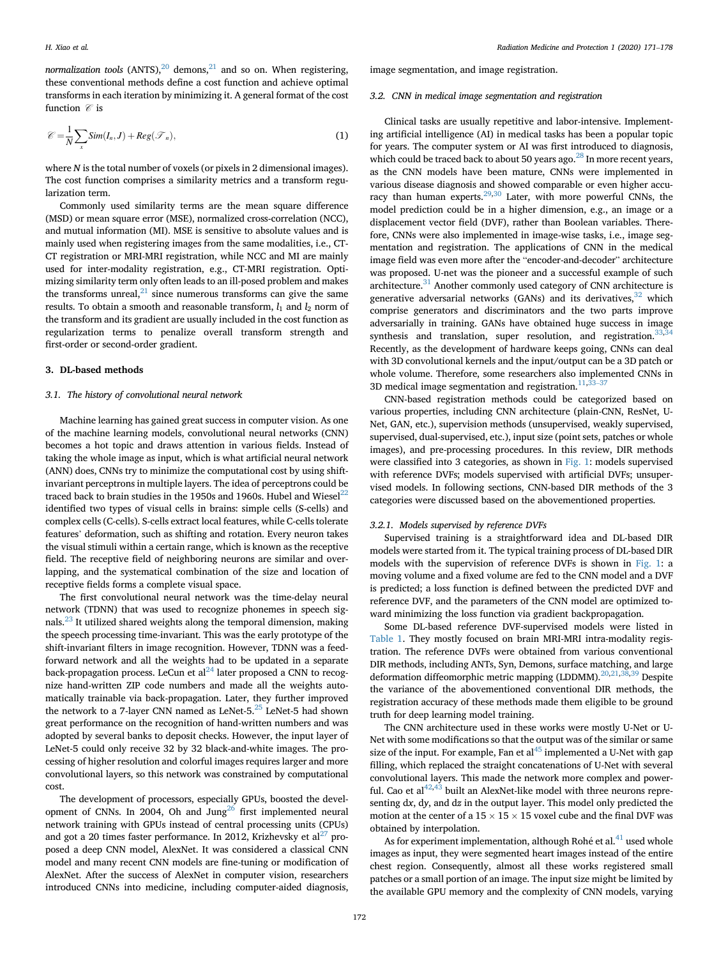normalization tools  $(ANTS)$ ,  $^{20}$  $^{20}$  $^{20}$  demons,  $^{21}$  and so on. When registering, these conventional methods define a cost function and achieve optimal transforms in each iteration by minimizing it. A general format of the cost function  $\mathcal C$  is

$$
\mathcal{C} = \frac{1}{N} \sum_{x} Sim(I_n, J) + Reg(\mathcal{T}_n),
$$
\n(1)

where N is the total number of voxels (or pixels in 2 dimensional images). The cost function comprises a similarity metrics and a transform regularization term.

Commonly used similarity terms are the mean square difference (MSD) or mean square error (MSE), normalized cross-correlation (NCC), and mutual information (MI). MSE is sensitive to absolute values and is mainly used when registering images from the same modalities, i.e., CT-CT registration or MRI-MRI registration, while NCC and MI are mainly used for inter-modality registration, e.g., CT-MRI registration. Optimizing similarity term only often leads to an ill-posed problem and makes the transforms unreal, $^{21}$  since numerous transforms can give the same results. To obtain a smooth and reasonable transform,  $l_1$  and  $l_2$  norm of the transform and its gradient are usually included in the cost function as regularization terms to penalize overall transform strength and first-order or second-order gradient.

#### 3. DL-based methods

#### 3.1. The history of convolutional neural network

Machine learning has gained great success in computer vision. As one of the machine learning models, convolutional neural networks (CNN) becomes a hot topic and draws attention in various fields. Instead of taking the whole image as input, which is what artificial neural network (ANN) does, CNNs try to minimize the computational cost by using shiftinvariant perceptrons in multiple layers. The idea of perceptrons could be traced back to brain studies in the 1950s and 1960s. Hubel and Wiesel $^{22}$ identified two types of visual cells in brains: simple cells (S-cells) and complex cells (C-cells). S-cells extract local features, while C-cells tolerate features' deformation, such as shifting and rotation. Every neuron takes the visual stimuli within a certain range, which is known as the receptive field. The receptive field of neighboring neurons are similar and overlapping, and the systematical combination of the size and location of receptive fields forms a complete visual space.

The first convolutional neural network was the time-delay neural network (TDNN) that was used to recognize phonemes in speech signals. $^{23}$  $^{23}$  $^{23}$  It utilized shared weights along the temporal dimension, making the speech processing time-invariant. This was the early prototype of the shift-invariant filters in image recognition. However, TDNN was a feedforward network and all the weights had to be updated in a separate back-propagation process. LeCun et  $al^{24}$  $al^{24}$  $al^{24}$  later proposed a CNN to recognize hand-written ZIP code numbers and made all the weights automatically trainable via back-propagation. Later, they further improved the network to a 7-layer CNN named as LeNet-5. $^{25}$  $^{25}$  $^{25}$  LeNet-5 had shown great performance on the recognition of hand-written numbers and was adopted by several banks to deposit checks. However, the input layer of LeNet-5 could only receive 32 by 32 black-and-white images. The processing of higher resolution and colorful images requires larger and more convolutional layers, so this network was constrained by computational cost.

The development of processors, especially GPUs, boosted the development of CNNs. In 2004, Oh and Jung<sup>26</sup> first implemented neural network training with GPUs instead of central processing units (CPUs) and got a 20 times faster performance. In 2012, Krizhevsky et  $al^{27}$  proposed a deep CNN model, AlexNet. It was considered a classical CNN model and many recent CNN models are fine-tuning or modification of AlexNet. After the success of AlexNet in computer vision, researchers introduced CNNs into medicine, including computer-aided diagnosis,

image segmentation, and image registration.

#### 3.2. CNN in medical image segmentation and registration

Clinical tasks are usually repetitive and labor-intensive. Implementing artificial intelligence (AI) in medical tasks has been a popular topic for years. The computer system or AI was first introduced to diagnosis, which could be traced back to about 50 years ago.<sup>28</sup> In more recent years, as the CNN models have been mature, CNNs were implemented in various disease diagnosis and showed comparable or even higher accu-racy than human experts.<sup>[29](#page-6-20),[30](#page-6-21)</sup> Later, with more powerful CNNs, the model prediction could be in a higher dimension, e.g., an image or a displacement vector field (DVF), rather than Boolean variables. Therefore, CNNs were also implemented in image-wise tasks, i.e., image segmentation and registration. The applications of CNN in the medical image field was even more after the "encoder-and-decoder" architecture was proposed. U-net was the pioneer and a successful example of such architecture.<sup>[31](#page-6-22)</sup> Another commonly used category of CNN architecture is generative adversarial networks (GANs) and its derivatives,  $32$  which comprise generators and discriminators and the two parts improve adversarially in training. GANs have obtained huge success in image synthesis and translation, super resolution, and registration.<sup>[33](#page-6-24),[34](#page-6-25)</sup> Recently, as the development of hardware keeps going, CNNs can deal with 3D convolutional kernels and the input/output can be a 3D patch or whole volume. Therefore, some researchers also implemented CNNs in 3D medical image segmentation and registration. $11,33-37$  $11,33-37$  $11,33-37$  $11,33-37$ 

CNN-based registration methods could be categorized based on various properties, including CNN architecture (plain-CNN, ResNet, U-Net, GAN, etc.), supervision methods (unsupervised, weakly supervised, supervised, dual-supervised, etc.), input size (point sets, patches or whole images), and pre-processing procedures. In this review, DIR methods were classified into 3 categories, as shown in [Fig. 1:](#page-2-0) models supervised with reference DVFs; models supervised with artificial DVFs; unsupervised models. In following sections, CNN-based DIR methods of the 3 categories were discussed based on the abovementioned properties.

#### 3.2.1. Models supervised by reference DVFs

Supervised training is a straightforward idea and DL-based DIR models were started from it. The typical training process of DL-based DIR models with the supervision of reference DVFs is shown in [Fig. 1:](#page-2-0) a moving volume and a fixed volume are fed to the CNN model and a DVF is predicted; a loss function is defined between the predicted DVF and reference DVF, and the parameters of the CNN model are optimized toward minimizing the loss function via gradient backpropagation.

Some DL-based reference DVF-supervised models were listed in [Table 1.](#page-2-1) They mostly focused on brain MRI-MRI intra-modality registration. The reference DVFs were obtained from various conventional DIR methods, including ANTs, Syn, Demons, surface matching, and large deformation diffeomorphic metric mapping (LDDMM). $^{20,21,38,39}$  $^{20,21,38,39}$  $^{20,21,38,39}$  $^{20,21,38,39}$  $^{20,21,38,39}$  $^{20,21,38,39}$  $^{20,21,38,39}$  Despite the variance of the abovementioned conventional DIR methods, the registration accuracy of these methods made them eligible to be ground truth for deep learning model training.

The CNN architecture used in these works were mostly U-Net or U-Net with some modifications so that the output was of the similar or same size of the input. For example, Fan et al $45$  implemented a U-Net with gap filling, which replaced the straight concatenations of U-Net with several convolutional layers. This made the network more complex and powerful. Cao et al $42,43$  $42,43$  built an AlexNet-like model with three neurons representing dx, dy, and dz in the output layer. This model only predicted the motion at the center of a  $15 \times 15 \times 15$  voxel cube and the final DVF was obtained by interpolation.

As for experiment implementation, although Rohé et al.<sup>41</sup> used whole images as input, they were segmented heart images instead of the entire chest region. Consequently, almost all these works registered small patches or a small portion of an image. The input size might be limited by the available GPU memory and the complexity of CNN models, varying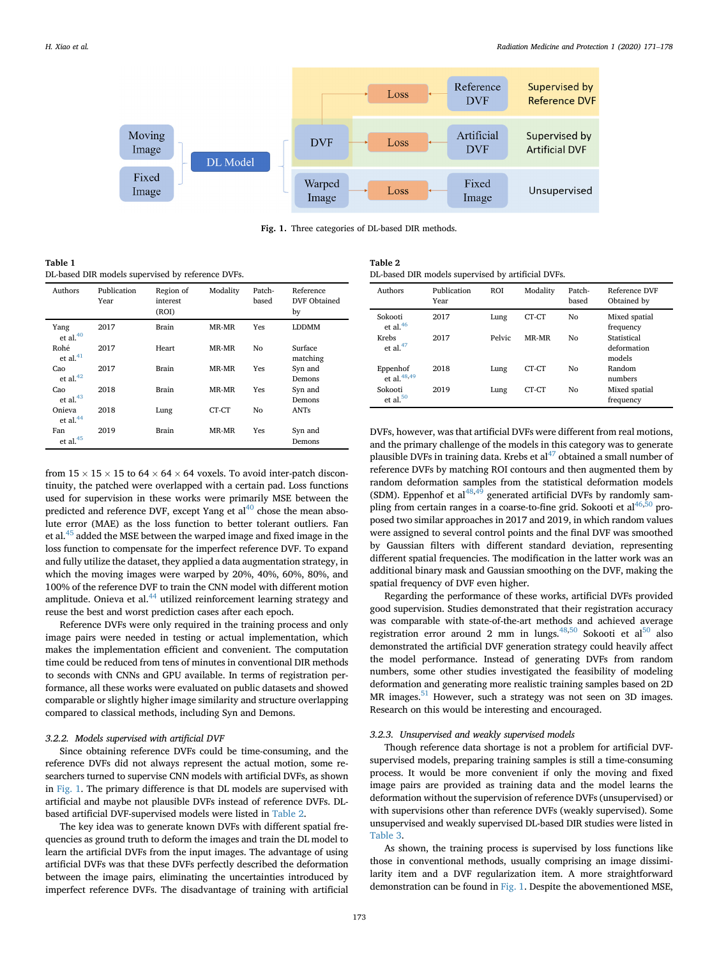<span id="page-2-0"></span>

Fig. 1. Three categories of DL-based DIR methods.

<span id="page-2-1"></span>Table 1

DL-based DIR models supervised by reference DVFs.

| Authors               | Publication<br>Year | Region of<br>interest<br>(ROI) | Modality | Patch-<br>based | Reference<br>DVF Obtained<br>by |
|-----------------------|---------------------|--------------------------------|----------|-----------------|---------------------------------|
| Yang<br>et al. $40$   | 2017                | <b>Brain</b>                   | MR-MR    | Yes             | <b>LDDMM</b>                    |
| Rohé<br>et al. $41$   | 2017                | Heart                          | MR-MR    | Nο              | Surface<br>matching             |
| Cao<br>et al. $42$    | 2017                | <b>Brain</b>                   | MR-MR    | Yes             | Syn and<br>Demons               |
| Cao<br>et al. $43$    | 2018                | <b>Brain</b>                   | MR-MR    | Yes             | Syn and<br>Demons               |
| Onieva<br>et al. $44$ | 2018                | Lung                           | CT-CT    | No              | ANTs                            |
| Fan<br>et al. $45$    | 2019                | <b>Brain</b>                   | MR-MR    | Yes             | Syn and<br>Demons               |

from  $15 \times 15 \times 15$  to  $64 \times 64 \times 64$  voxels. To avoid inter-patch discontinuity, the patched were overlapped with a certain pad. Loss functions used for supervision in these works were primarily MSE between the predicted and reference DVF, except Yang et  $al^{40}$  $al^{40}$  $al^{40}$  chose the mean absolute error (MAE) as the loss function to better tolerant outliers. Fan et al[.45](#page-6-28) added the MSE between the warped image and fixed image in the loss function to compensate for the imperfect reference DVF. To expand and fully utilize the dataset, they applied a data augmentation strategy, in which the moving images were warped by 20%, 40%, 60%, 80%, and 100% of the reference DVF to train the CNN model with different motion amplitude. Onieva et al. $44$  utilized reinforcement learning strategy and reuse the best and worst prediction cases after each epoch.

Reference DVFs were only required in the training process and only image pairs were needed in testing or actual implementation, which makes the implementation efficient and convenient. The computation time could be reduced from tens of minutes in conventional DIR methods to seconds with CNNs and GPU available. In terms of registration performance, all these works were evaluated on public datasets and showed comparable or slightly higher image similarity and structure overlapping compared to classical methods, including Syn and Demons.

#### 3.2.2. Models supervised with artificial DVF

Since obtaining reference DVFs could be time-consuming, and the reference DVFs did not always represent the actual motion, some researchers turned to supervise CNN models with artificial DVFs, as shown in [Fig. 1](#page-2-0). The primary difference is that DL models are supervised with artificial and maybe not plausible DVFs instead of reference DVFs. DLbased artificial DVF-supervised models were listed in [Table 2.](#page-2-2)

The key idea was to generate known DVFs with different spatial frequencies as ground truth to deform the images and train the DL model to learn the artificial DVFs from the input images. The advantage of using artificial DVFs was that these DVFs perfectly described the deformation between the image pairs, eliminating the uncertainties introduced by imperfect reference DVFs. The disadvantage of training with artificial

<span id="page-2-2"></span>

| Table 2                                            |
|----------------------------------------------------|
| DL-based DIR models supervised by artificial DVFs. |

| Authors                             | Publication<br>Year | <b>ROI</b> | Modality | Patch-<br>based | Reference DVF<br>Obtained by         |
|-------------------------------------|---------------------|------------|----------|-----------------|--------------------------------------|
| Sokooti<br>et al. $46$              | 2017                | Lung       | CT-CT    | Nο              | Mixed spatial<br>frequency           |
| <b>Krebs</b><br>et al. $47$         | 2017                | Pelvic     | MR-MR    | Nο              | Statistical<br>deformation<br>models |
| Eppenhof<br>et al. <sup>48,49</sup> | 2018                | Lung       | CT-CT    | Nο              | Random<br>numbers                    |
| Sokooti<br>et al. $50$              | 2019                | Lung       | CT-CT    | Nο              | Mixed spatial<br>frequency           |

DVFs, however, was that artificial DVFs were different from real motions, and the primary challenge of the models in this category was to generate plausible DVFs in training data. Krebs et  $al^{47}$  obtained a small number of reference DVFs by matching ROI contours and then augmented them by random deformation samples from the statistical deformation models (SDM). Eppenhof et al $^{48,49}$  $^{48,49}$  $^{48,49}$  $^{48,49}$  $^{48,49}$  generated artificial DVFs by randomly sam-pling from certain ranges in a coarse-to-fine grid. Sokooti et al<sup>[46,](#page-6-37)[50](#page-6-38)</sup> proposed two similar approaches in 2017 and 2019, in which random values were assigned to several control points and the final DVF was smoothed by Gaussian filters with different standard deviation, representing different spatial frequencies. The modification in the latter work was an additional binary mask and Gaussian smoothing on the DVF, making the spatial frequency of DVF even higher.

Regarding the performance of these works, artificial DVFs provided good supervision. Studies demonstrated that their registration accuracy was comparable with state-of-the-art methods and achieved average registration error around 2 mm in lungs.<sup>[48](#page-6-35),[50](#page-6-38)</sup> Sokooti et al<sup>50</sup> also demonstrated the artificial DVF generation strategy could heavily affect the model performance. Instead of generating DVFs from random numbers, some other studies investigated the feasibility of modeling deformation and generating more realistic training samples based on 2D MR images. $51$  However, such a strategy was not seen on 3D images. Research on this would be interesting and encouraged.

#### 3.2.3. Unsupervised and weakly supervised models

Though reference data shortage is not a problem for artificial DVFsupervised models, preparing training samples is still a time-consuming process. It would be more convenient if only the moving and fixed image pairs are provided as training data and the model learns the deformation without the supervision of reference DVFs (unsupervised) or with supervisions other than reference DVFs (weakly supervised). Some unsupervised and weakly supervised DL-based DIR studies were listed in [Table 3.](#page-3-0)

As shown, the training process is supervised by loss functions like those in conventional methods, usually comprising an image dissimilarity item and a DVF regularization item. A more straightforward demonstration can be found in [Fig. 1](#page-2-0). Despite the abovementioned MSE,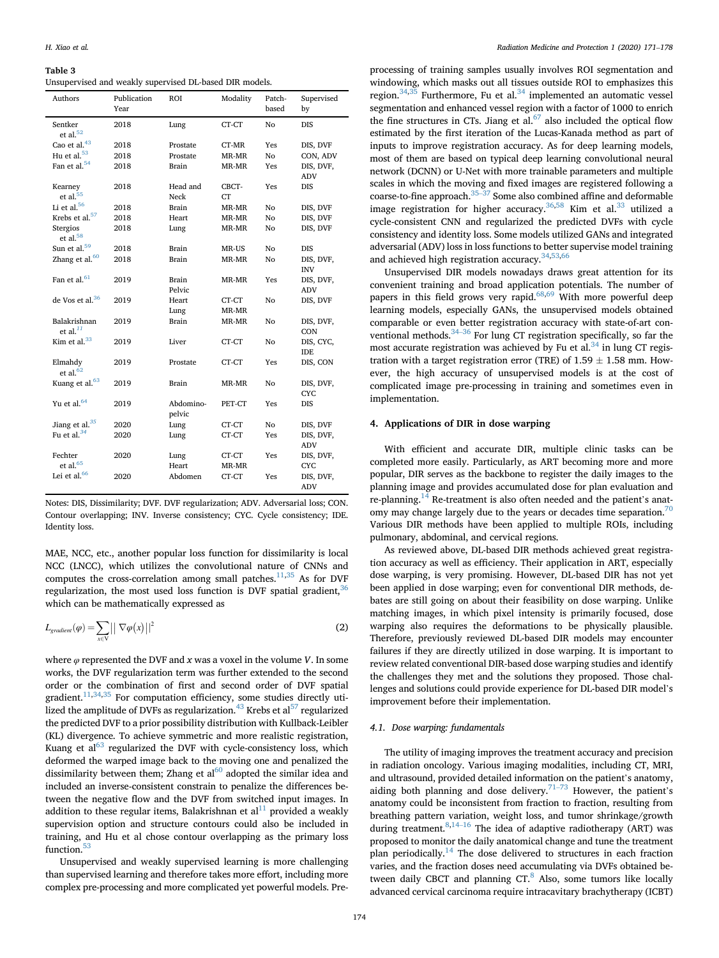#### <span id="page-3-0"></span>Table 3

Unsupervised and weakly supervised DL-based DIR models.

| Authors                          | Publication<br>Year | ROI                 | Modality | Patch-<br>based | Supervised<br>by        |
|----------------------------------|---------------------|---------------------|----------|-----------------|-------------------------|
| Sentker<br>et al. $52$           | 2018                | Lung                | CT-CT    | No              | <b>DIS</b>              |
| Cao et al. <sup>43</sup>         | 2018                | Prostate            | CT-MR    | Yes             | DIS, DVF                |
| Hu et al. $53$                   | 2018                | Prostate            | MR-MR    | No              | CON, ADV                |
| Fan et al. <sup>54</sup>         | 2018                | Brain               | MR-MR    | Yes             | DIS, DVF,               |
|                                  |                     |                     |          |                 | <b>ADV</b>              |
| Kearney                          | 2018                | Head and            | CBCT-    | Yes             | <b>DIS</b>              |
| et al. $55$                      |                     | Neck                | CT       |                 |                         |
| Li et al. <sup>56</sup>          | 2018                | Brain               | MR-MR    | No              | DIS, DVF                |
| Krebs et al. <sup>57</sup>       | 2018                | Heart               | MR-MR    | No              | DIS, DVF                |
| Stergios<br>et al. <sup>58</sup> | 2018                | Lung                | MR-MR    | No              | DIS, DVF                |
| Sun et al. <sup>59</sup>         | 2018                | Brain               | MR-US    | No              | DIS                     |
| Zhang et al. <sup>60</sup>       | 2018                | Brain               | MR-MR    | No              | DIS, DVF,<br><b>INV</b> |
| Fan et al. <sup>61</sup>         | 2019                | Brain<br>Pelvic     | MR-MR    | Yes             | DIS, DVF,<br>ADV        |
| de Vos et al. <sup>36</sup>      | 2019                | Heart               | CT-CT    | No              | DIS, DVF                |
|                                  |                     | Lung                | MR-MR    |                 |                         |
| Balakrishnan                     | 2019                | Brain               | MR-MR    | No              | DIS, DVF,               |
| et al. $^{11}$                   |                     |                     |          |                 | CON                     |
| Kim et al. $33$                  | 2019                | Liver               | CT-CT    | No              | DIS, CYC,<br><b>IDE</b> |
| Elmahdy<br>et al. $62$           | 2019                | Prostate            | CT-CT    | Yes             | DIS, CON                |
| Kuang et al. <sup>63</sup>       | 2019                | Brain               | MR-MR    | No              | DIS, DVF,<br><b>CYC</b> |
| Yu et al. <sup>64</sup>          | 2019                | Abdomino-<br>pelvic | PET-CT   | Yes             | DIS                     |
| Jiang et al. <sup>35</sup>       | 2020                | Lung                | CT-CT    | No              | DIS, DVF                |
| Fu et al. $34$                   | 2020                | Lung                | CT-CT    | Yes             | DIS, DVF,               |
|                                  |                     |                     |          |                 | <b>ADV</b>              |
| Fechter                          | 2020                | Lung                | CT-CT    | Yes             | DIS, DVF,               |
| et al. $65$                      |                     | Heart               | MR-MR    |                 | <b>CYC</b>              |
| Lei et al. $66$                  | 2020                | Abdomen             | CT-CT    | Yes             | DIS, DVF,<br><b>ADV</b> |

Notes: DIS, Dissimilarity; DVF. DVF regularization; ADV. Adversarial loss; CON. Contour overlapping; INV. Inverse consistency; CYC. Cycle consistency; IDE. Identity loss.

MAE, NCC, etc., another popular loss function for dissimilarity is local NCC (LNCC), which utilizes the convolutional nature of CNNs and computes the cross-correlation among small patches.<sup>11[,35](#page-6-40)</sup> As for DVF regularization, the most used loss function is DVF spatial gradient,  $36$ which can be mathematically expressed as

$$
L_{gradient}(\varphi) = \sum_{x \in V} || \nabla \varphi(x) ||^2
$$
 (2)

where  $\varphi$  represented the DVF and x was a voxel in the volume V. In some works, the DVF regularization term was further extended to the second order or the combination of first and second order of DVF spatial gradient.<sup>[11,](#page-6-2)[34](#page-6-25)[,35](#page-6-40)</sup> For computation efficiency, some studies directly utilized the amplitude of DVFs as regularization. $43$  Krebs et al<sup>[57](#page-7-0)</sup> regularized the predicted DVF to a prior possibility distribution with Kullback-Leibler (KL) divergence. To achieve symmetric and more realistic registration, Kuang et  $al^{63}$  $al^{63}$  $al^{63}$  regularized the DVF with cycle-consistency loss, which deformed the warped image back to the moving one and penalized the dissimilarity between them; Zhang et  $al^{60}$  $al^{60}$  $al^{60}$  adopted the similar idea and included an inverse-consistent constrain to penalize the differences between the negative flow and the DVF from switched input images. In addition to these regular items, Balakrishnan et  $al<sup>11</sup>$  provided a weakly supervision option and structure contours could also be included in training, and Hu et al chose contour overlapping as the primary loss function.<sup>[53](#page-6-42)</sup>

Unsupervised and weakly supervised learning is more challenging than supervised learning and therefore takes more effort, including more complex pre-processing and more complicated yet powerful models. Pre-

processing of training samples usually involves ROI segmentation and windowing, which masks out all tissues outside ROI to emphasizes this region.<sup>34[,35](#page-6-40)</sup> Furthermore, Fu et al.<sup>[34](#page-6-25)</sup> implemented an automatic vessel segmentation and enhanced vessel region with a factor of 1000 to enrich the fine structures in CTs. Jiang et al. $67$  also included the optical flow estimated by the first iteration of the Lucas-Kanada method as part of inputs to improve registration accuracy. As for deep learning models, most of them are based on typical deep learning convolutional neural network (DCNN) or U-Net with more trainable parameters and multiple scales in which the moving and fixed images are registered following a coarse-to-fine approach[.35](#page-6-40)–[37](#page-6-40) Some also combined affine and deformable image registration for higher accuracy.<sup>36,[58](#page-7-4)</sup> Kim et al.<sup>33</sup> utilized a cycle-consistent CNN and regularized the predicted DVFs with cycle consistency and identity loss. Some models utilized GANs and integrated adversarial (ADV) loss in loss functions to better supervise model training and achieved high registration accuracy.<sup>[34](#page-6-25),[53,](#page-6-42)[66](#page-7-5)</sup>

Unsupervised DIR models nowadays draws great attention for its convenient training and broad application potentials. The number of papers in this field grows very rapid. $68,69$  $68,69$  With more powerful deep learning models, especially GANs, the unsupervised models obtained comparable or even better registration accuracy with state-of-art con-ventional methods.<sup>[34](#page-6-25)–[36](#page-6-25)</sup> For lung CT registration specifically, so far the most accurate registration was achieved by Fu et al. $34$  in lung CT registration with a target registration error (TRE) of  $1.59 \pm 1.58$  mm. However, the high accuracy of unsupervised models is at the cost of complicated image pre-processing in training and sometimes even in implementation.

#### 4. Applications of DIR in dose warping

With efficient and accurate DIR, multiple clinic tasks can be completed more easily. Particularly, as ART becoming more and more popular, DIR serves as the backbone to register the daily images to the planning image and provides accumulated dose for plan evaluation and re-planning.<sup>[14](#page-6-7)</sup> Re-treatment is also often needed and the patient's anatomy may change largely due to the years or decades time separation.<sup>71</sup> Various DIR methods have been applied to multiple ROIs, including pulmonary, abdominal, and cervical regions.

As reviewed above, DL-based DIR methods achieved great registration accuracy as well as efficiency. Their application in ART, especially dose warping, is very promising. However, DL-based DIR has not yet been applied in dose warping; even for conventional DIR methods, debates are still going on about their feasibility on dose warping. Unlike matching images, in which pixel intensity is primarily focused, dose warping also requires the deformations to be physically plausible. Therefore, previously reviewed DL-based DIR models may encounter failures if they are directly utilized in dose warping. It is important to review related conventional DIR-based dose warping studies and identify the challenges they met and the solutions they proposed. Those challenges and solutions could provide experience for DL-based DIR model'<sup>s</sup> improvement before their implementation.

#### 4.1. Dose warping: fundamentals

The utility of imaging improves the treatment accuracy and precision in radiation oncology. Various imaging modalities, including CT, MRI, and ultrasound, provided detailed information on the patient's anatomy, aiding both planning and dose delivery.<sup>71-[73](#page-7-9)</sup> However, the patient's anatomy could be inconsistent from fraction to fraction, resulting from breathing pattern variation, weight loss, and tumor shrinkage/growth during treatment. $8,14-16$  $8,14-16$  $8,14-16$  $8,14-16$  The idea of adaptive radiotherapy (ART) was proposed to monitor the daily anatomical change and tune the treatment plan periodically.<sup>[14](#page-6-7)</sup> The dose delivered to structures in each fraction varies, and the fraction doses need accumulating via DVFs obtained between daily CBCT and planning  $CT<sup>8</sup>$  Also, some tumors like locally advanced cervical carcinoma require intracavitary brachytherapy (ICBT)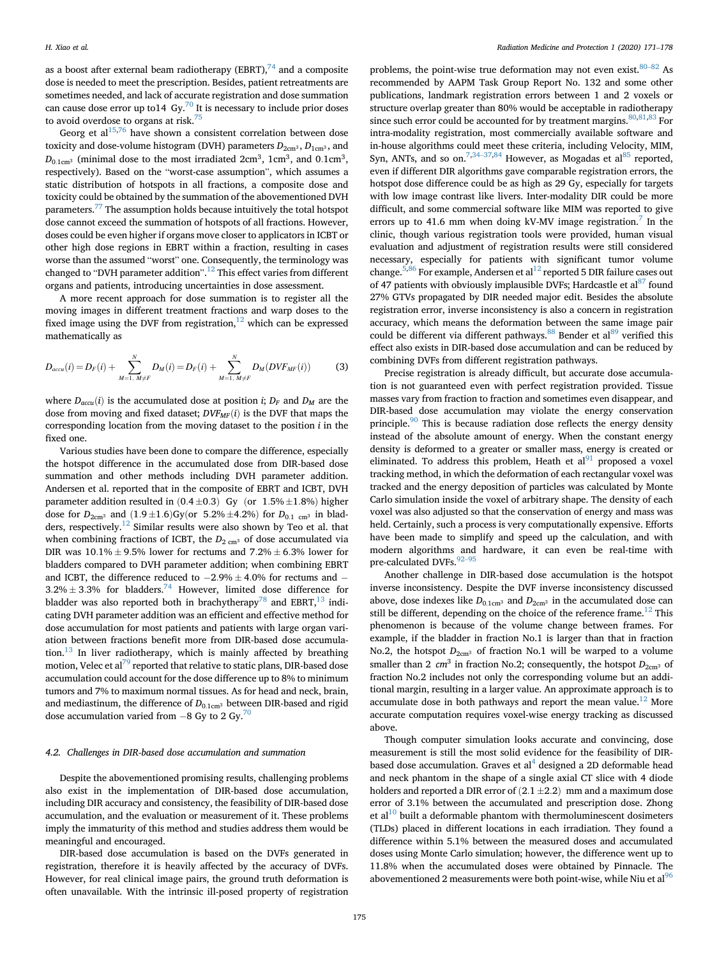as a boost after external beam radiotherapy (EBRT), $^{74}$  $^{74}$  $^{74}$  and a composite dose is needed to meet the prescription. Besides, patient retreatments are sometimes needed, and lack of accurate registration and dose summation can cause dose error up to  $14 \text{ Gy}^{70}$  $14 \text{ Gy}^{70}$  $14 \text{ Gy}^{70}$  It is necessary to include prior doses to avoid overdose to organs at risk.<sup>75</sup>

Georg et  $al^{15,76}$  $al^{15,76}$  $al^{15,76}$  $al^{15,76}$  have shown a consistent correlation between dose toxicity and dose-volume histogram (DVH) parameters  $D_{2cm^3}$ ,  $D_{1cm^3}$ , and  $D_{0.1cm^3}$  (minimal dose to the most irradiated 2cm<sup>3</sup>, 1cm<sup>3</sup>, and 0.1cm<sup>3</sup>, respectively). Based on the "worst-case assumption", which assumes a static distribution of hotspots in all fractions, a composite dose and toxicity could be obtained by the summation of the abovementioned DVH parameters.[77](#page-7-20) The assumption holds because intuitively the total hotspot dose cannot exceed the summation of hotspots of all fractions. However, doses could be even higher if organs move closer to applicators in ICBT or other high dose regions in EBRT within a fraction, resulting in cases worse than the assumed "worst" one. Consequently, the terminology was changed to "DVH parameter addition". [12](#page-6-3) This effect varies from different organs and patients, introducing uncertainties in dose assessment.

A more recent approach for dose summation is to register all the moving images in different treatment fractions and warp doses to the fixed image using the DVF from registration, $12$  which can be expressed mathematically as

$$
D_{accu}(i) = D_F(i) + \sum_{M=1, M \neq F}^{N} D_M(i) = D_F(i) + \sum_{M=1, M \neq F}^{N} D_M(DVF_{MF}(i))
$$
(3)

where  $D_{accu}(i)$  is the accumulated dose at position *i*;  $D_F$  and  $D_M$  are the dose from moving and fixed dataset;  $DVF_{MF}(i)$  is the DVF that maps the corresponding location from the moving dataset to the position  $i$  in the fixed one.

Various studies have been done to compare the difference, especially the hotspot difference in the accumulated dose from DIR-based dose summation and other methods including DVH parameter addition. Andersen et al. reported that in the composite of EBRT and ICBT, DVH parameter addition resulted in  $(0.4 \pm 0.3)$  Gy (or 1.5%  $\pm 1.8$ %) higher dose for  $D_{2cm^3}$  and  $(1.9 \pm 1.6)$ Gy(or 5.2%  $\pm 4.2$ %) for  $D_{0.1 cm^3}$  in blad-ders, respectively.<sup>[12](#page-6-3)</sup> Similar results were also shown by Teo et al. that when combining fractions of ICBT, the  $D_{2 \text{ cm}}$ <sup>3</sup> of dose accumulated via DIR was  $10.1\% \pm 9.5\%$  lower for rectums and  $7.2\% \pm 6.3\%$  lower for bladders compared to DVH parameter addition; when combining EBRT and ICBT, the difference reduced to  $-2.9\% \pm 4.0\%$  for rectums and  $3.2\% \pm 3.3\%$  for bladders.<sup>[74](#page-7-17)</sup> However, limited dose difference for bladder was also reported both in brachytherapy<sup>[78](#page-7-21)</sup> and EBRT, <sup>13</sup> indicating DVH parameter addition was an efficient and effective method for dose accumulation for most patients and patients with large organ variation between fractions benefit more from DIR-based dose accumulation. $13$  In liver radiotherapy, which is mainly affected by breathing motion, Velec et al<sup>79</sup> reported that relative to static plans, DIR-based dose accumulation could account for the dose difference up to 8% to minimum tumors and 7% to maximum normal tissues. As for head and neck, brain, and mediastinum, the difference of  $D_{0.1\rm cm^3}$  between DIR-based and rigid dose accumulation varied from  $-8$  Gy to 2 Gy.<sup>[70](#page-7-8)</sup>

#### 4.2. Challenges in DIR-based dose accumulation and summation

Despite the abovementioned promising results, challenging problems also exist in the implementation of DIR-based dose accumulation, including DIR accuracy and consistency, the feasibility of DIR-based dose accumulation, and the evaluation or measurement of it. These problems imply the immaturity of this method and studies address them would be meaningful and encouraged.

DIR-based dose accumulation is based on the DVFs generated in registration, therefore it is heavily affected by the accuracy of DVFs. However, for real clinical image pairs, the ground truth deformation is often unavailable. With the intrinsic ill-posed property of registration

problems, the point-wise true deformation may not even exist.<sup>[80](#page-7-23)-[82](#page-7-23)</sup> As recommended by AAPM Task Group Report No. 132 and some other publications, landmark registration errors between 1 and 2 voxels or structure overlap greater than 80% would be acceptable in radiotherapy since such error could be accounted for by treatment margins.  $80,81,83$  $80,81,83$  $80,81,83$  For intra-modality registration, most commercially available software and in-house algorithms could meet these criteria, including Velocity, MIM, Syn, ANTs, and so on.<sup>7,[34](#page-6-25)–[37,](#page-6-25)[84](#page-7-26)</sup> However, as Mogadas et al<sup>[85](#page-7-27)</sup> reported, even if different DIR algorithms gave comparable registration errors, the hotspot dose difference could be as high as 29 Gy, especially for targets with low image contrast like livers. Inter-modality DIR could be more difficult, and some commercial software like MIM was reported to give errors up to 41.6 mm when doing kV-MV image registration.<sup>[7](#page-6-47)</sup> In the clinic, though various registration tools were provided, human visual evaluation and adjustment of registration results were still considered necessary, especially for patients with significant tumor volume change.<sup>5[,86](#page-7-28)</sup> For example, Andersen et al<sup>[12](#page-6-3)</sup> reported 5 DIR failure cases out of 47 patients with obviously implausible DVFs; Hardcastle et al  $\frac{187}{10}$  $\frac{187}{10}$  $\frac{187}{10}$  found 27% GTVs propagated by DIR needed major edit. Besides the absolute registration error, inverse inconsistency is also a concern in registration accuracy, which means the deformation between the same image pair could be different via different pathways. <sup>88</sup> Bender et al<sup>[89](#page-7-31)</sup> verified this effect also exists in DIR-based dose accumulation and can be reduced by combining DVFs from different registration pathways.

Precise registration is already difficult, but accurate dose accumulation is not guaranteed even with perfect registration provided. Tissue masses vary from fraction to fraction and sometimes even disappear, and DIR-based dose accumulation may violate the energy conservation principle.<sup>[90](#page-7-32)</sup> This is because radiation dose reflects the energy density instead of the absolute amount of energy. When the constant energy density is deformed to a greater or smaller mass, energy is created or eliminated. To address this problem, Heath et  $al<sup>91</sup>$  proposed a voxel tracking method, in which the deformation of each rectangular voxel was tracked and the energy deposition of particles was calculated by Monte Carlo simulation inside the voxel of arbitrary shape. The density of each voxel was also adjusted so that the conservation of energy and mass was held. Certainly, such a process is very computationally expensive. Efforts have been made to simplify and speed up the calculation, and with modern algorithms and hardware, it can even be real-time with pre-calculated DVFs. 92-[95](#page-7-34)

Another challenge in DIR-based dose accumulation is the hotspot inverse inconsistency. Despite the DVF inverse inconsistency discussed above, dose indexes like  $D_{0.1 \text{cm}^3}$  and  $D_{2 \text{cm}^3}$  in the accumulated dose can still be different, depending on the choice of the reference frame.<sup>[12](#page-6-3)</sup> This phenomenon is because of the volume change between frames. For example, if the bladder in fraction No.1 is larger than that in fraction No.2, the hotspot  $D_{2cm^3}$  of fraction No.1 will be warped to a volume smaller than 2  $cm<sup>3</sup>$  in fraction No.2; consequently, the hotspot  $D_{2cm<sup>3</sup>}$  of fraction No.2 includes not only the corresponding volume but an additional margin, resulting in a larger value. An approximate approach is to accumulate dose in both pathways and report the mean value.<sup>[12](#page-6-3)</sup> More accurate computation requires voxel-wise energy tracking as discussed above.

Though computer simulation looks accurate and convincing, dose measurement is still the most solid evidence for the feasibility of DIRbased dose accumulation. Graves et  $al<sup>4</sup>$  $al<sup>4</sup>$  $al<sup>4</sup>$  designed a 2D deformable head and neck phantom in the shape of a single axial CT slice with 4 diode holders and reported a DIR error of  $(2.1 \pm 2.2)$  mm and a maximum dose error of 3.1% between the accumulated and prescription dose. Zhong et al $10$  built a deformable phantom with thermoluminescent dosimeters (TLDs) placed in different locations in each irradiation. They found a difference within 5.1% between the measured doses and accumulated doses using Monte Carlo simulation; however, the difference went up to 11.8% when the accumulated doses were obtained by Pinnacle. The abovementioned 2 measurements were both point-wise, while Niu et al<sup>[96](#page-7-35)</sup>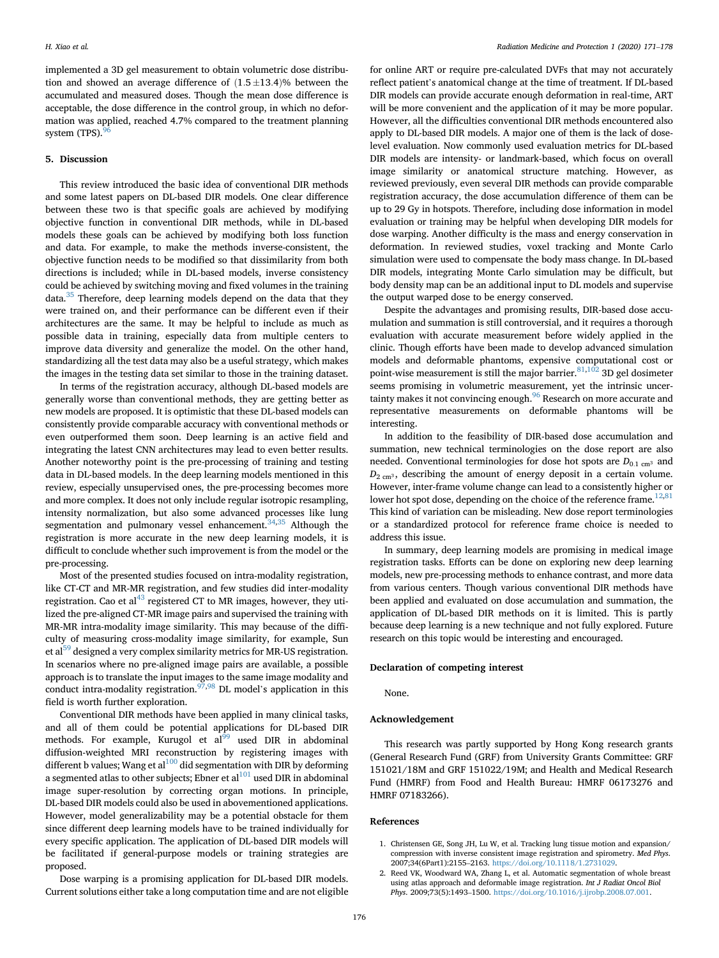implemented a 3D gel measurement to obtain volumetric dose distribution and showed an average difference of  $(1.5 \pm 13.4)$ % between the accumulated and measured doses. Though the mean dose difference is acceptable, the dose difference in the control group, in which no deformation was applied, reached 4.7% compared to the treatment planning system (TPS).

#### 5. Discussion

This review introduced the basic idea of conventional DIR methods and some latest papers on DL-based DIR models. One clear difference between these two is that specific goals are achieved by modifying objective function in conventional DIR methods, while in DL-based models these goals can be achieved by modifying both loss function and data. For example, to make the methods inverse-consistent, the objective function needs to be modified so that dissimilarity from both directions is included; while in DL-based models, inverse consistency could be achieved by switching moving and fixed volumes in the training data.<sup>[35](#page-6-40)</sup> Therefore, deep learning models depend on the data that they were trained on, and their performance can be different even if their architectures are the same. It may be helpful to include as much as possible data in training, especially data from multiple centers to improve data diversity and generalize the model. On the other hand, standardizing all the test data may also be a useful strategy, which makes the images in the testing data set similar to those in the training dataset.

In terms of the registration accuracy, although DL-based models are generally worse than conventional methods, they are getting better as new models are proposed. It is optimistic that these DL-based models can consistently provide comparable accuracy with conventional methods or even outperformed them soon. Deep learning is an active field and integrating the latest CNN architectures may lead to even better results. Another noteworthy point is the pre-processing of training and testing data in DL-based models. In the deep learning models mentioned in this review, especially unsupervised ones, the pre-processing becomes more and more complex. It does not only include regular isotropic resampling, intensity normalization, but also some advanced processes like lung segmentation and pulmonary vessel enhancement. $34,35$  $34,35$  $34,35$  Although the registration is more accurate in the new deep learning models, it is difficult to conclude whether such improvement is from the model or the pre-processing.

Most of the presented studies focused on intra-modality registration, like CT-CT and MR-MR registration, and few studies did inter-modality registration. Cao et al $^{43}$  registered CT to MR images, however, they utilized the pre-aligned CT-MR image pairs and supervised the training with MR-MR intra-modality image similarity. This may because of the difficulty of measuring cross-modality image similarity, for example, Sun et al<sup>59</sup> designed a very complex similarity metrics for MR-US registration. In scenarios where no pre-aligned image pairs are available, a possible approach is to translate the input images to the same image modality and conduct intra-modality registration.<sup>[97](#page-7-36),[98](#page-7-37)</sup> DL model's application in this field is worth further exploration.

Conventional DIR methods have been applied in many clinical tasks, and all of them could be potential applications for DL-based DIR methods. For example, Kurugol et  $al<sup>99</sup>$  used DIR in abdominal diffusion-weighted MRI reconstruction by registering images with different b values; Wang et  $al^{100}$  did segmentation with DIR by deforming a segmented atlas to other subjects; Ebner et al $^{101}$  used DIR in abdominal image super-resolution by correcting organ motions. In principle, DL-based DIR models could also be used in abovementioned applications. However, model generalizability may be a potential obstacle for them since different deep learning models have to be trained individually for every specific application. The application of DL-based DIR models will be facilitated if general-purpose models or training strategies are proposed.

Dose warping is a promising application for DL-based DIR models. Current solutions either take a long computation time and are not eligible for online ART or require pre-calculated DVFs that may not accurately reflect patient's anatomical change at the time of treatment. If DL-based DIR models can provide accurate enough deformation in real-time, ART will be more convenient and the application of it may be more popular. However, all the difficulties conventional DIR methods encountered also apply to DL-based DIR models. A major one of them is the lack of doselevel evaluation. Now commonly used evaluation metrics for DL-based DIR models are intensity- or landmark-based, which focus on overall image similarity or anatomical structure matching. However, as reviewed previously, even several DIR methods can provide comparable registration accuracy, the dose accumulation difference of them can be up to 29 Gy in hotspots. Therefore, including dose information in model evaluation or training may be helpful when developing DIR models for dose warping. Another difficulty is the mass and energy conservation in deformation. In reviewed studies, voxel tracking and Monte Carlo simulation were used to compensate the body mass change. In DL-based DIR models, integrating Monte Carlo simulation may be difficult, but body density map can be an additional input to DL models and supervise the output warped dose to be energy conserved.

Despite the advantages and promising results, DIR-based dose accumulation and summation is still controversial, and it requires a thorough evaluation with accurate measurement before widely applied in the clinic. Though efforts have been made to develop advanced simulation models and deformable phantoms, expensive computational cost or point-wise measurement is still the major barrier.  $^{81,10\bar{2}}$  3D gel dosimeter seems promising in volumetric measurement, yet the intrinsic uncertainty makes it not convincing enough.<sup>96</sup> Research on more accurate and representative measurements on deformable phantoms will be interesting.

In addition to the feasibility of DIR-based dose accumulation and summation, new technical terminologies on the dose report are also needed. Conventional terminologies for dose hot spots are  $D_{0.1 \text{ cm}^3}$  and  $D_{2 \text{ cm}^3}$ , describing the amount of energy deposit in a certain volume. However, inter-frame volume change can lead to a consistently higher or lower hot spot dose, depending on the choice of the reference frame.<sup>[12](#page-6-3),[81](#page-7-24)</sup> This kind of variation can be misleading. New dose report terminologies or a standardized protocol for reference frame choice is needed to address this issue.

In summary, deep learning models are promising in medical image registration tasks. Efforts can be done on exploring new deep learning models, new pre-processing methods to enhance contrast, and more data from various centers. Though various conventional DIR methods have been applied and evaluated on dose accumulation and summation, the application of DL-based DIR methods on it is limited. This is partly because deep learning is a new technique and not fully explored. Future research on this topic would be interesting and encouraged.

#### Declaration of competing interest

None.

#### Acknowledgement

This research was partly supported by Hong Kong research grants (General Research Fund (GRF) from University Grants Committee: GRF 151021/18M and GRF 151022/19M; and Health and Medical Research Fund (HMRF) from Food and Health Bureau: HMRF 06173276 and HMRF 07183266).

#### References

- <span id="page-5-0"></span>1. Christensen GE, Song JH, Lu W, et al. Tracking lung tissue motion and expansion/ compression with inverse consistent image registration and spirometry. Med Phys. 2007;34(6Part1):2155–2163. [https://doi.org/10.1118/1.2731029.](https://doi.org/10.1118/1.2731029)
- <span id="page-5-1"></span>2. Reed VK, Woodward WA, Zhang L, et al. Automatic segmentation of whole breast using atlas approach and deformable image registration. Int J Radiat Oncol Biol Phys. 2009;73(5):1493–1500. <https://doi.org/10.1016/j.ijrobp.2008.07.001>.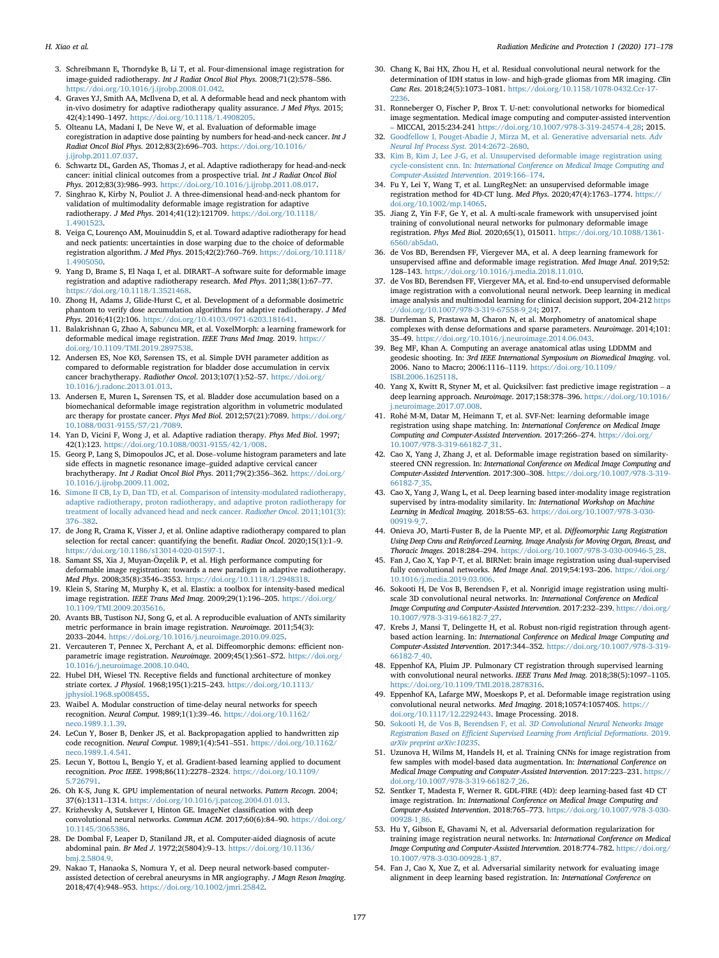- <span id="page-6-0"></span>3. Schreibmann E, Thorndyke B, Li T, et al. Four-dimensional image registration for image-guided radiotherapy. Int J Radiat Oncol Biol Phys. 2008;71(2):578–586. <https://doi.org/10.1016/j.ijrobp.2008.01.042>.
- <span id="page-6-1"></span>4. Graves YJ, Smith AA, McIlvena D, et al. A deformable head and neck phantom with in-vivo dosimetry for adaptive radiotherapy quality assurance. J Med Phys. 2015; 42(4):1490–1497. [https://doi.org/10.1118/1.4908205.](https://doi.org/10.1118/1.4908205)
- <span id="page-6-48"></span>5. Olteanu LA, Madani I, De Neve W, et al. Evaluation of deformable image coregistration in adaptive dose painting by numbers for head-and-neck cancer. Int J Radiat Oncol Biol Phys. 2012;83(2):696–703. [https://doi.org/10.1016/](https://doi.org/10.1016/j.ijrobp.2011.07.037) [j.ijrobp.2011.07.037.](https://doi.org/10.1016/j.ijrobp.2011.07.037)
- 6. Schwartz DL, Garden AS, Thomas J, et al. Adaptive radiotherapy for head-and-neck cancer: initial clinical outcomes from a prospective trial. Int J Radiat Oncol Biol Phys. 2012;83(3):986–993. <https://doi.org/10.1016/j.ijrobp.2011.08.017>.
- <span id="page-6-47"></span>7. Singhrao K, Kirby N, Pouliot J. A three-dimensional head-and-neck phantom for validation of multimodality deformable image registration for adaptive radiotherapy. J Med Phys. 2014;41(12):121709. [https://doi.org/10.1118/](https://doi.org/10.1118/1.4901523) [1.4901523](https://doi.org/10.1118/1.4901523).
- <span id="page-6-43"></span>8. Veiga C, Lourenço AM, Mouinuddin S, et al. Toward adaptive radiotherapy for head and neck patients: uncertainties in dose warping due to the choice of deformable registration algorithm. J Med Phys. 2015;42(2):760–769. [https://doi.org/10.1118/](https://doi.org/10.1118/1.4905050) [1.4905050](https://doi.org/10.1118/1.4905050).
- <span id="page-6-5"></span>9. Yang D, Brame S, El Naqa I, et al. DIRART–A software suite for deformable image registration and adaptive radiotherapy research. Med Phys. 2011;38(1):67–77. [https://doi.org/10.1118/1.3521468.](https://doi.org/10.1118/1.3521468)
- <span id="page-6-6"></span>10. Zhong H, Adams J, Glide-Hurst C, et al. Development of a deformable dosimetric phantom to verify dose accumulation algorithms for adaptive radiotherapy. J Med Phys. 2016;41(2):106. <https://doi.org/10.4103/0971-6203.181641>.
- <span id="page-6-2"></span>11. Balakrishnan G, Zhao A, Sabuncu MR, et al. VoxelMorph: a learning framework for deformable medical image registration. IEEE Trans Med Imag. 2019. [https://](https://doi.org/10.1109/TMI.2019.2897538) [doi.org/10.1109/TMI.2019.2897538](https://doi.org/10.1109/TMI.2019.2897538).
- <span id="page-6-3"></span>12. Andersen ES, Noe KØ, Sørensen TS, et al. Simple DVH parameter addition as compared to deformable registration for bladder dose accumulation in cervix cancer brachytherapy. Radiother Oncol. 2013;107(1):52-57. [https://doi.org/](https://doi.org/10.1016/j.radonc.2013.01.013) [10.1016/j.radonc.2013.01.013](https://doi.org/10.1016/j.radonc.2013.01.013).
- <span id="page-6-4"></span>13. Andersen E, Muren L, Sørensen TS, et al. Bladder dose accumulation based on a biomechanical deformable image registration algorithm in volumetric modulated arc therapy for prostate cancer. Phys Med Biol. 2012;57(21):7089. [https://doi.org/](https://doi.org/10.1088/0031-9155/57/21/7089) [10.1088/0031-9155/57/21/7089.](https://doi.org/10.1088/0031-9155/57/21/7089)
- <span id="page-6-7"></span>14. Yan D, Vicini F, Wong J, et al. Adaptive radiation therapy. Phys Med Biol. 1997; 42(1):123. <https://doi.org/10.1088/0031-9155/42/1/008>.
- <span id="page-6-46"></span>15. Georg P, Lang S, Dimopoulos JC, et al. Dose–volume histogram parameters and late side effects in magnetic resonance image–guided adaptive cervical cancer brachytherapy. Int J Radiat Oncol Biol Phys. 2011;79(2):356–362. [https://doi.org/](https://doi.org/10.1016/j.ijrobp.2009.11.002) [10.1016/j.ijrobp.2009.11.002.](https://doi.org/10.1016/j.ijrobp.2009.11.002)
- 16. [Simone II CB, Ly D, Dan TD, et al. Comparison of intensity-modulated radiotherapy,](http://refhub.elsevier.com/S2666-5557(20)30062-9/sref16) [adaptive radiotherapy, proton radiotherapy, and adaptive proton radiotherapy for](http://refhub.elsevier.com/S2666-5557(20)30062-9/sref16) [treatment of locally advanced head and neck cancer.](http://refhub.elsevier.com/S2666-5557(20)30062-9/sref16) Radiother Oncol. 2011;101(3): [376](http://refhub.elsevier.com/S2666-5557(20)30062-9/sref16)–[382](http://refhub.elsevier.com/S2666-5557(20)30062-9/sref16).
- <span id="page-6-8"></span>17. de Jong R, Crama K, Visser J, et al. Online adaptive radiotherapy compared to plan selection for rectal cancer: quantifying the benefit. Radiat Oncol. 2020;15(1):1–9. [https://doi.org/10.1186/s13014-020-01597-1.](https://doi.org/10.1186/s13014-020-01597-1)
- <span id="page-6-9"></span>18. Samant SS, Xia J, Muyan-Özçelik P, et al. High performance computing for deformable image registration: towards a new paradigm in adaptive radiotherapy. Med Phys. 2008;35(8):3546–3553. <https://doi.org/10.1118/1.2948318>.
- <span id="page-6-10"></span>19. Klein S, Staring M, Murphy K, et al. Elastix: a toolbox for intensity-based medical image registration. IEEE Trans Med Imag. 2009;29(1):196–205. [https://doi.org/](https://doi.org/10.1109/TMI.2009.2035616) [10.1109/TMI.2009.2035616](https://doi.org/10.1109/TMI.2009.2035616).
- <span id="page-6-11"></span>20. Avants BB, Tustison NJ, Song G, et al. A reproducible evaluation of ANTs similarity metric performance in brain image registration. Neuroimage. 2011;54(3): <sup>2033</sup>–2044. [https://doi.org/10.1016/j.neuroimage.2010.09.025.](https://doi.org/10.1016/j.neuroimage.2010.09.025)
- <span id="page-6-12"></span>21. Vercauteren T, Pennec X, Perchant A, et al. Diffeomorphic demons: efficient nonparametric image registration. Neuroimage. 2009;45(1):S61–S72. [https://doi.org/](https://doi.org/10.1016/j.neuroimage.2008.10.040) [10.1016/j.neuroimage.2008.10.040](https://doi.org/10.1016/j.neuroimage.2008.10.040).
- <span id="page-6-13"></span>22. Hubel DH, Wiesel TN. Receptive fields and functional architecture of monkey striate cortex. J Physiol. 1968;195(1):215–243. [https://doi.org/10.1113/](https://doi.org/10.1113/jphysiol.1968.sp008455) [jphysiol.1968.sp008455](https://doi.org/10.1113/jphysiol.1968.sp008455).
- <span id="page-6-14"></span>23. Waibel A. Modular construction of time-delay neural networks for speech recognition. Neural Comput. 1989;1(1):39–46. [https://doi.org/10.1162/](https://doi.org/10.1162/neco.1989.1.1.39) [neco.1989.1.1.39](https://doi.org/10.1162/neco.1989.1.1.39).
- <span id="page-6-15"></span>24. LeCun Y, Boser B, Denker JS, et al. Backpropagation applied to handwritten zip code recognition. Neural Comput. 1989;1(4):541–551. [https://doi.org/10.1162/](https://doi.org/10.1162/neco.1989.1.4.541) [neco.1989.1.4.541.](https://doi.org/10.1162/neco.1989.1.4.541)
- <span id="page-6-16"></span>25. Lecun Y, Bottou L, Bengio Y, et al. Gradient-based learning applied to document recognition. Proc IEEE. 1998;86(11):2278–2324. [https://doi.org/10.1109/](https://doi.org/10.1109/5.726791) [5.726791](https://doi.org/10.1109/5.726791).
- <span id="page-6-17"></span>26. Oh K-S, Jung K. GPU implementation of neural networks. Pattern Recogn. 2004; 37(6):1311–1314. [https://doi.org/10.1016/j.patcog.2004.01.013.](https://doi.org/10.1016/j.patcog.2004.01.013)
- <span id="page-6-18"></span>27. Krizhevsky A, Sutskever I, Hinton GE. ImageNet classification with deep convolutional neural networks. Commun ACM. 2017;60(6):84–90. [https://doi.org/](https://doi.org/10.1145/3065386) [10.1145/3065386.](https://doi.org/10.1145/3065386)
- <span id="page-6-19"></span>28. De Dombal F, Leaper D, Staniland JR, et al. Computer-aided diagnosis of acute abdominal pain. Br Med J. 1972;2(5804):9–13. [https://doi.org/10.1136/](https://doi.org/10.1136/bmj.2.5804.9) [bmj.2.5804.9.](https://doi.org/10.1136/bmj.2.5804.9)
- <span id="page-6-20"></span>29. Nakao T, Hanaoka S, Nomura Y, et al. Deep neural network-based computerassisted detection of cerebral aneurysms in MR angiography. J Magn Reson Imaging. 2018;47(4):948–953. <https://doi.org/10.1002/jmri.25842>.
- <span id="page-6-21"></span>30. Chang K, Bai HX, Zhou H, et al. Residual convolutional neural network for the determination of IDH status in low- and high-grade gliomas from MR imaging. Clin Canc Res. 2018;24(5):1073–1081. [https://doi.org/10.1158/1078-0432.Ccr-17-](https://doi.org/10.1158/1078-0432.Ccr-17-2236) [2236.](https://doi.org/10.1158/1078-0432.Ccr-17-2236)
- <span id="page-6-22"></span>31. Ronneberger O, Fischer P, Brox T. U-net: convolutional networks for biomedical image segmentation. Medical image computing and computer-assisted intervention<br>1966 - MCCAL 2015-224 241 https://doi.org/10.1007.078.2.210.24574.4.29.2015 MICCAI, 2015:234-241 [https://doi.org/10.1007/978-3-319-24574-4\\_28;](https://doi.org/10.1007/978-3-319-24574-4_28) 2015. [Goodfellow I, Pouget-Abadie J, Mirza M, et al. Generative adversarial nets.](http://refhub.elsevier.com/S2666-5557(20)30062-9/sref32) Adv
- <span id="page-6-23"></span>[Neural Inf Process Syst](http://refhub.elsevier.com/S2666-5557(20)30062-9/sref32). 2014:2672–[2680.](http://refhub.elsevier.com/S2666-5557(20)30062-9/sref32)
- <span id="page-6-24"></span>33. [Kim B, Kim J, Lee J-G, et al. Unsupervised deformable image registration using](http://refhub.elsevier.com/S2666-5557(20)30062-9/sref33) cycle-consistent cnn. In: [International Conference on Medical Image Computing and](http://refhub.elsevier.com/S2666-5557(20)30062-9/sref33) [Computer-Assisted Intervention](http://refhub.elsevier.com/S2666-5557(20)30062-9/sref33). 2019:166–[174.](http://refhub.elsevier.com/S2666-5557(20)30062-9/sref33)
- <span id="page-6-25"></span>34. Fu  $\hat{Y}$ , Lei Y, Wang T, et al. LungRegNet: an unsupervised deformable image registration method for 4D-CT lung. Med Phys. 2020;47(4):1763–1774. [https://](https://doi.org/10.1002/mp.14065) [doi.org/10.1002/mp.14065](https://doi.org/10.1002/mp.14065).
- <span id="page-6-40"></span>35. Jiang Z, Yin F-F, Ge Y, et al. A multi-scale framework with unsupervised joint training of convolutional neural networks for pulmonary deformable image registration. Phys Med Biol. 2020;65(1), 015011. [https://doi.org/10.1088/1361-](https://doi.org/10.1088/1361-6560/ab5da0) [6560/ab5da0.](https://doi.org/10.1088/1361-6560/ab5da0)
- <span id="page-6-41"></span>36. de Vos BD, Berendsen FF, Viergever MA, et al. A deep learning framework for unsupervised affine and deformable image registration. Med Image Anal. 2019;52: <sup>128</sup>–143. [https://doi.org/10.1016/j.media.2018.11.010.](https://doi.org/10.1016/j.media.2018.11.010)
- 37. de Vos BD, Berendsen FF, Viergever MA, et al. End-to-end unsupervised deformable image registration with a convolutional neural network. Deep learning in medical image analysis and multimodal learning for clinical decision support, 204-212 [https](https://doi.org/10.1007/978-3-319-67558-9_24) [://doi.org/10.1007/978-3-319-67558-9\\_24;](https://doi.org/10.1007/978-3-319-67558-9_24) 2017.
- <span id="page-6-26"></span>38. Durrleman S, Prastawa M, Charon N, et al. Morphometry of anatomical shape complexes with dense deformations and sparse parameters. Neuroimage. 2014;101: <sup>35</sup>–49. <https://doi.org/10.1016/j.neuroimage.2014.06.043>.
- <span id="page-6-27"></span>39. Beg MF, Khan A. Computing an average anatomical atlas using LDDMM and geodesic shooting. In: 3rd IEEE International Symposium on Biomedical Imaging. vol. 2006. Nano to Macro; 2006:1116–1119. [https://doi.org/10.1109/](https://doi.org/10.1109/ISBI.2006.1625118) [ISBI.2006.1625118.](https://doi.org/10.1109/ISBI.2006.1625118)
- <span id="page-6-32"></span>40. Yang X, Kwitt R, Styner M, et al. Quicksilver: fast predictive image registration – <sup>a</sup> deep learning approach. Neuroimage. 2017;158:378–396. [https://doi.org/10.1016/](https://doi.org/10.1016/j.neuroimage.2017.07.008) [j.neuroimage.2017.07.008.](https://doi.org/10.1016/j.neuroimage.2017.07.008)
- <span id="page-6-31"></span>41. Rohe M-M, Datar M, Heimann T, et al. SVF-Net: learning deformable image registration using shape matching. In: International Conference on Medical Image Computing and Computer-Assisted Intervention. 2017:266–274. [https://doi.org/](https://doi.org/10.1007/978-3-319-66182-7_31) [10.1007/978-3-319-66182-7\\_31.](https://doi.org/10.1007/978-3-319-66182-7_31)
- <span id="page-6-29"></span>42. Cao X, Yang J, Zhang J, et al. Deformable image registration based on similaritysteered CNN regression. In: International Conference on Medical Image Computing and Computer-Assisted Intervention. 2017:300–308. [https://doi.org/10.1007/978-3-319-](https://doi.org/10.1007/978-3-319-66182-7_35) [66182-7\\_35](https://doi.org/10.1007/978-3-319-66182-7_35).
- <span id="page-6-30"></span>43. Cao X, Yang J, Wang L, et al. Deep learning based inter-modality image registration supervised by intra-modality similarity. In: International Workshop on Machine Learning in Medical Imaging. 2018:55–63. [https://doi.org/10.1007/978-3-030-](https://doi.org/10.1007/978-3-030-00919-9_7) [00919-9\\_7.](https://doi.org/10.1007/978-3-030-00919-9_7)
- <span id="page-6-33"></span>44. Onieva JO, Marti-Fuster B, de la Puente MP, et al. Diffeomorphic Lung Registration Using Deep Cnns and Reinforced Learning. Image Analysis for Moving Organ, Breast, and Thoracic Images. 2018:284–294. [https://doi.org/10.1007/978-3-030-00946-5\\_28](https://doi.org/10.1007/978-3-030-00946-5_28).
- <span id="page-6-28"></span>45. Fan J, Cao X, Yap P-T, et al. BIRNet: brain image registration using dual-supervised fully convolutional networks. Med Image Anal. 2019;54:193–206. [https://doi.org/](https://doi.org/10.1016/j.media.2019.03.006) [10.1016/j.media.2019.03.006](https://doi.org/10.1016/j.media.2019.03.006).
- <span id="page-6-37"></span>46. Sokooti H, De Vos B, Berendsen F, et al. Nonrigid image registration using multiscale 3D convolutional neural networks. In: International Conference on Medical Image Computing and Computer-Assisted Intervention. 2017:232–239. [https://doi.org/](https://doi.org/10.1007/978-3-319-66182-7_27) [10.1007/978-3-319-66182-7\\_27.](https://doi.org/10.1007/978-3-319-66182-7_27)
- <span id="page-6-34"></span>47. Krebs J, Mansi T, Delingette H, et al. Robust non-rigid registration through agentbased action learning. In: International Conference on Medical Image Computing and Computer-Assisted Intervention. 2017:344–352. [https://doi.org/10.1007/978-3-319-](https://doi.org/10.1007/978-3-319-66182-7_40) [66182-7\\_40](https://doi.org/10.1007/978-3-319-66182-7_40).
- <span id="page-6-35"></span>48. Eppenhof KA, Pluim JP. Pulmonary CT registration through supervised learning with convolutional neural networks. IEEE Trans Med Imag. 2018;38(5):1097–1105. <https://doi.org/10.1109/TMI.2018.2878316>.
- <span id="page-6-36"></span>49. Eppenhof KA, Lafarge MW, Moeskops P, et al. Deformable image registration using convolutional neural networks. Med Imaging. 2018;10574:105740S. [https://](https://doi.org/10.1117/12.2292443) [doi.org/10.1117/12.2292443.](https://doi.org/10.1117/12.2292443) Image Processing. 2018.
- <span id="page-6-38"></span>50. [Sokooti H, de Vos B, Berendsen F, et al.](http://refhub.elsevier.com/S2666-5557(20)30062-9/sref50) 3D Convolutional Neural Networks Image Registration Based on Effi[cient Supervised Learning from Arti](http://refhub.elsevier.com/S2666-5557(20)30062-9/sref50)ficial Deformations. 2019. [arXiv preprint arXiv:10235](http://refhub.elsevier.com/S2666-5557(20)30062-9/sref50).
- <span id="page-6-39"></span>51. Uzunova H, Wilms M, Handels H, et al. Training CNNs for image registration from few samples with model-based data augmentation. In: International Conference on Medical Image Computing and Computer-Assisted Intervention. 2017:223–231. [https://](https://doi.org/10.1007/978-3-319-66182-7_26) [doi.org/10.1007/978-3-319-66182-7\\_26.](https://doi.org/10.1007/978-3-319-66182-7_26)
- <span id="page-6-44"></span>52. Sentker T, Madesta F, Werner R. GDL-FIRE (4D): deep learning-based fast 4D CT image registration. In: International Conference on Medical Image Computing and Computer-Assisted Intervention. 2018:765–773. [https://doi.org/10.1007/978-3-030-](https://doi.org/10.1007/978-3-030-00928-1_86) [00928-1\\_86](https://doi.org/10.1007/978-3-030-00928-1_86).
- <span id="page-6-42"></span>53. Hu Y, Gibson E, Ghavami N, et al. Adversarial deformation regularization for training image registration neural networks. In: International Conference on Medical Image Computing and Computer-Assisted Intervention. 2018:774–782. [https://doi.org/](https://doi.org/10.1007/978-3-030-00928-1_87) [10.1007/978-3-030-00928-1\\_87.](https://doi.org/10.1007/978-3-030-00928-1_87)
- <span id="page-6-45"></span>54. Fan J, Cao X, Xue Z, et al. Adversarial similarity network for evaluating image alignment in deep learning based registration. In: International Conference on